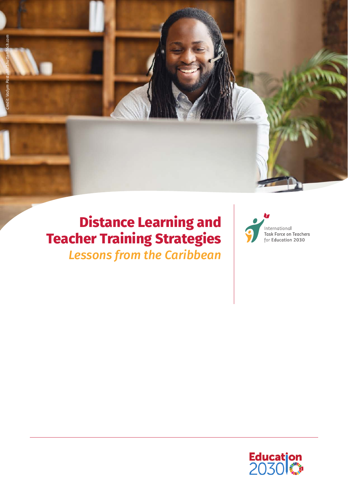

# **Distance Learning and Teacher Training Strategies** *Lessons from the Caribbean*



International Task Force on Teachers for Education 2030

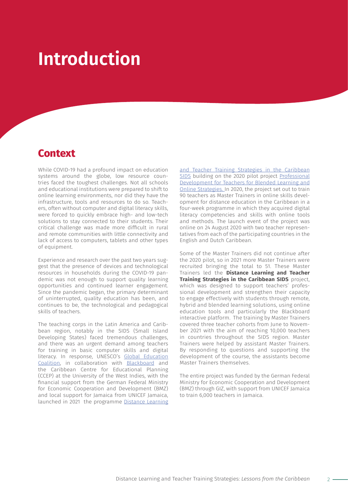# **Introduction**

## **Context**

While COVID-19 had a profound impact on education systems around the globe, low resource countries faced the toughest challenges. Not all schools and educational institutions were prepared to shift to online learning environments, nor did they have the infrastructure, tools and resources to do so. Teachers, often without computer and digital literacy skills, were forced to quickly embrace high- and low-tech solutions to stay connected to their students. Their critical challenge was made more difficult in rural and remote communities with little connectivity and lack of access to computers, tablets and other types of equipment.

Experience and research over the past two years suggest that the presence of devices and technological resources in households during the COVID-19 pandemic was not enough to support quality learning opportunities and continued learner engagement. Since the pandemic began, the primary determinant of uninterrupted, quality education has been, and continues to be, the technological and pedagogical skills of teachers.

The teaching corps in the Latin America and Caribbean region, notably in the SIDS (Small Island Developing States) faced tremendous challenges, and there was an urgent demand among teachers for training in basic computer skills and digital literacy. In response, UNESCO's [Global Education](https://globaleducationcoalition.unesco.org/)  [Coalition,](https://globaleducationcoalition.unesco.org/) in collaboration with [Blackboard](https://blog.blackboard.com/blackboard-unesco-partner-to-bring-digital-training-to-caribbean-educators/) and the Caribbean Centre for Educational Planning (CCEP) at the University of the West Indies, with the financial support from the German Federal Ministry for Economic Cooperation and Development (BMZ) and local support for Jamaica from UNICEF Jamaica, launched in 2021 the programme [Distance Learning](https://en.unesco.org/distance-education-caribbean)  [and Teacher Training Strategies in the Caribbean](https://en.unesco.org/distance-education-caribbean) [SIDS](https://en.unesco.org/distance-education-caribbean) building on the 2020 pilot project [Professional](https://en.unesco.org/online-teacher-capacity-training) [Development for Teachers for Blended Learning and](https://en.unesco.org/online-teacher-capacity-training) [Online Strategies.](https://en.unesco.org/online-teacher-capacity-training) In 2020, the project set out to train 90 teachers as Master Trainers in online skills development for distance education in the Caribbean in a four-week programme in which they acquired digital literacy competencies and skills with online tools and methods. The launch event of the project was online on 24 August 2020 with two teacher representatives from each of the participating countries in the English and Dutch Caribbean.

Some of the Master Trainers did not continue after the 2020 pilot, so in 2021 more Master Trainers were recruited bringing the total to 51. These Master Trainers led the **Distance Learning and Teacher Training Strategies in the Caribbean SIDS** project, which was designed to support teachers' professional development and strengthen their capacity to engage effectively with students through remote, hybrid and blended learning solutions, using online education tools and particularly the Blackboard interactive platform. The training by Master Trainers covered three teacher cohorts from June to November 2021 with the aim of reaching 10,000 teachers in countries throughout the SIDS region. Master Trainers were helped by assistant Master Trainers. By responding to questions and supporting the development of the course, the assistants become Master Trainers themselves.

The entire project was funded by the German Federal Ministry for Economic Cooperation and Development (BMZ) through GIZ, with support from UNICEF Jamaica to train 6,000 teachers in Jamaica.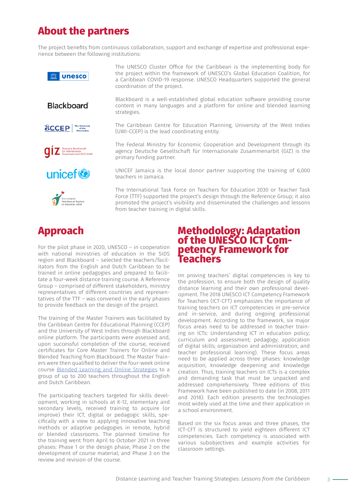## **About the partners**

The project benefits from continuous collaboration, support and exchange of expertise and professional experience between the following institutions:





The UNESCO Cluster Office for the Caribbean is the implementing body for the project within the framework of UNESCO's Global Education Coalition, for a Caribbean COVID-19 response. UNESCO Headquarters supported the general coordination of the project.

Blackboard is a well-established global education software providing course content in many languages and a platform for online and blended learning strategies.

The Caribbean Centre for Education Planning, University of the West Indies (UWI-CCEP) is the lead coordinating entity.

The Federal Ministry for Economic Cooperation and Development through its agency Deutsche Gesellschaft für Internazionale Zusammenarbit (GIZ) is the primary funding partner.

UNICEF Jamaica is the local donor partner supporting the training of 6,000 teachers in Jamaica.

The International Task Force on Teachers for Education 2030 or Teacher Task Force (TTF) supported the project's design through the Reference Group; it also promoted the project's visibility and disseminated the challenges and lessons from teacher training in digital skills.

## **Approach**

For the pilot phase in 2020, UNESCO – in cooperation with national ministries of education in the SIDS region and Blackboard – selected the teachers/facilitators from the English and Dutch Caribbean to be trained in online pedagogies and prepared to facilitate a four-week distance training course. A Reference Group – comprised of different stakeholders, ministry representatives of different countries and representatives of the TTF – was convened in the early phases to provide feedback on the design of the project.

The training of the Master Trainers was facilitated by the Caribbean Centre for Educational Planning (CCEP) and the University of West Indies through Blackboard online platform. The participants were assessed and, upon successful completion of the course, received certificates for Core Master Trainers for Online and Blended Teaching from Blackboard. The Master Trainers were then qualified to deliver the four-week online course [Blended Learning and Online Strategies](D://Downloads/blackboard_academy_project_2020_-_concept_note.pdf) to a group of up to 200 teachers throughout the English and Dutch Caribbean.

The participating teachers targeted for skills development, working in schools at K-12, elementary and secondary levels, received training to acquire (or improve) their ICT, digital or pedagogic skills, specifically with a view to applying innovative teaching methods or adaptive pedagogies in remote, hybrid or blended classrooms. The planned timeline for the training went from April to October 2021 in three phases: Phase 1 or the design phase; Phase 2 on the development of course material; and Phase 3 on the review and revision of the course.

# **Methodology: Adaptation petency Framework for Teachers**

Im proving teachers' digital competencies is key to the profession, to ensure both the design of quality distance learning and their own professional development. The 2018 UNESCO ICT Competency Framework for Teachers (ICT-CFT) emphasizes the importance of training teachers on ICT competencies in pre-service and in-service, and during ongoing professional development. According to the framework, six major focus areas need to be addressed in teacher training on ICTs: Understanding ICT in education policy; curriculum and assessment; pedagogy; application of digital skills; organization and administration; and teacher professional learning). These focus areas need to be applied across three phases: knowledge acquisition, knowledge deepening and knowledge creation. Thus, training teachers on ICTs is a complex and demanding task that must be unpacked and addressed comprehensively. Three editions of this Framework have been published to date (in 2008, 2011 and 2018). Each edition presents the technologies most widely used at the time and their application in a school environment.

Based on the six focus areas and three phases, the ICT-CFT is structured to yield eighteen different ICT competencies. Each competency is associated with various subobjectives and example activities for classroom settings.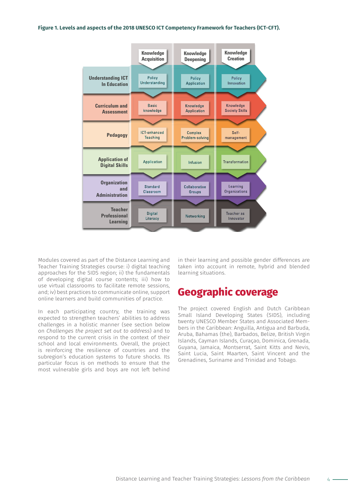#### **Figure 1. Levels and aspects of the 2018 UNESCO ICT Competency Framework for Teachers (ICT-CFT).**



Modules covered as part of the Distance Learning and Teacher Training Strategies course: i) digital teaching approaches for the SIDS region; ii) the fundamentals of developing digital course contents; iii) how to use virtual classrooms to facilitate remote sessions, and; iv) best practices to communicate online, support online learners and build communities of practice.

In each participating country, the training was expected to strengthen teachers' abilities to address challenges in a holistic manner (see section below on *Challenges the project set out to address*) and to respond to the current crisis in the context of their school and local environments. Overall, the project is reinforcing the resilience of countries and the subregion's education systems to future shocks. Its particular focus is on methods to ensure that the most vulnerable girls and boys are not left behind

in their learning and possible gender differences are taken into account in remote, hybrid and blended learning situations.

## **Geographic coverage**

The project covered English and Dutch Caribbean Small Island Developing States (SIDS), including twenty UNESCO Member States and Associated Members in the Caribbean: Anguilla, Antigua and Barbuda, Aruba, Bahamas (the), Barbados, Belize, British Virgin Islands, Cayman Islands, Curaçao, Dominica, Grenada, Guyana, Jamaica, Montserrat, Saint Kitts and Nevis, Saint Lucia, Saint Maarten, Saint Vincent and the Grenadines, Suriname and Trinidad and Tobago.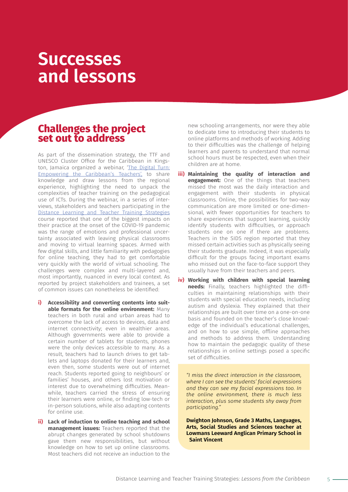# **Successes and lessons**

### **Challenges the project set out to address**

As part of the dissemination strategy, the TTF and UNESCO Cluster Office for the Caribbean in Kingston, Jamaica organized a webinar, 'The Digital Turn: [Empowering the Caribbean's Teachers'](https://teachertaskforce.org/events/digital-turn-empowering-caribbeans-teachers-0), to share knowledge and draw lessons from the regional experience, highlighting the need to unpack the complexities of teacher training on the pedagogical use of ICTs. During the webinar, in a series of interviews, stakeholders and teachers participating in the [Distance Learning and Teacher Training Strategies](https://en.unesco.org/distance-education-caribbean) course reported that one of the biggest impacts on their practice at the onset of the COVID-19 pandemic was the range of emotions and professional uncertainty associated with leaving physical classrooms and moving to virtual learning spaces. Armed with few digital skills, and little familiarity with pedagogies for online teaching, they had to get comfortable very quickly with the world of virtual schooling. The challenges were complex and multi-layered and, most importantly, nuanced in every local context. As reported by project stakeholders and trainees, a set of common issues can nonetheless be identified:

- **i) Accessibility and converting contents into suitable formats for the online environment:** Many teachers in both rural and urban areas had to overcome the lack of access to devices, data and internet connectivity; even in wealthier areas. Although governments were able to provide a certain number of tablets for students, phones were the only devices accessible to many. As a result, teachers had to launch drives to get tablets and laptops donated for their learners and, even then, some students were out of internet reach. Students reported going to neighbours' or families' houses, and others lost motivation or interest due to overwhelming difficulties. Meanwhile, teachers carried the stress of ensuring their learners were online, or finding low-tech or in-person solutions, while also adapting contents for online use.
- **ii) Lack of induction to online teaching and school management issues:** Teachers reported that the abrupt changes generated by school shutdowns gave them new responsibilities, but without knowledge on how to set up online classrooms. Most teachers did not receive an induction to the

new schooling arrangements, nor were they able to dedicate time to introducing their students to online platforms and methods of working. Adding to their difficulties was the challenge of helping learners and parents to understand that normal school hours must be respected, even when their children are at home.

- **iii) Maintaining the quality of interaction and engagement:** One of the things that teachers missed the most was the daily interaction and engagement with their students in physical classrooms. Online, the possibilities for two-way communication are more limited or one-dimensional, with fewer opportunities for teachers to share experiences that support learning, quickly identify students with difficulties, or approach students one on one if there are problems. Teachers in the SIDS region reported that they missed certain activities such as physically seeing their students graduate. Indeed, it was especially difficult for the groups facing important exams who missed out on the face-to-face support they usually have from their teachers and peers.
- **iv) Working with children with special learning needs:** Finally, teachers highlighted the difficulties in maintaining relationships with their students with special education needs, including autism and dyslexia. They explained that their relationships are built over time on a one-on-one basis and founded on the teacher's close knowledge of the individual's educational challenges, and on how to use simple, offline approaches and methods to address them. Understanding how to maintain the pedagogic quality of these relationships in online settings posed a specific set of difficulties.

*"I miss the direct interaction in the classroom, where I can see the students' facial expressions and they can see my facial expressions too. In the online environment, there is much less interaction, plus some students shy away from participating."*

**Dwighton Johnson, Grade 3 Maths, Languages, Arts, Social Studies and Sciences teacher at Lowmans Leeward Anglican Primary School in Saint Vincent**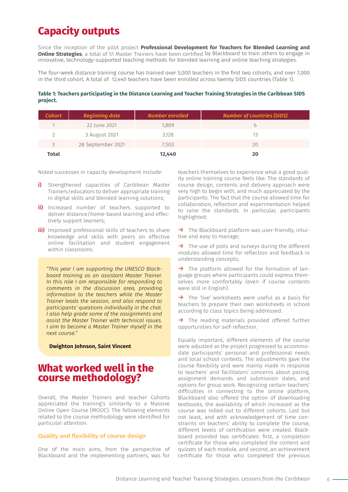## **Capacity outputs**

Since the inception of the pilot project **Professional Development for Teachers for Blended Learning and Online Strategies**, a total of 51 Master Trainers have been certified by Blackboard to train others to engage in innovative, technology-supported teaching methods for blended learning and online teaching strategies.

The four-week distance training course has trained over 5,000 teachers in the first two cohorts, and over 7,000 in the third cohort. A total of 12,440 teachers have been enrolled across twenty SIDS countries (Table 1).

#### **Table 1: Teachers participating in the Distance Learning and Teacher Training Strategies in the Caribbean SIDS project.**

| <b>Cohort</b> | <b>Beginning date</b> | Number enrolled | <b>Number of countries (SIDS)</b> |
|---------------|-----------------------|-----------------|-----------------------------------|
|               | 22 June 2021          | 1.809           | h                                 |
|               | 3 August 2021         | 3,128           | 13                                |
| 3             | 28 September 2021     | 7.503           | 20                                |
| <b>Total</b>  |                       | 12,440          | 20                                |

Noted successes in capacity development include:

- **i)** Strengthened capacities of Caribbean Master Trainers/educators to deliver appropriate training in digital skills and blended learning solutions;
- **ii)** Increased number of teachers supported to deliver distance/home-based learning and effectively support learners;
- **iii)** Improved professional skills of teachers to share knowledge and skills with peers on effective online facilitation and student engagement within classrooms.

*"This year I am supporting the UNESCO Blackboard training as an assistant Master Trainer. In this role I am responsible for responding to comments in the discussion area, providing information to the teachers while the Master Trainer leads the session, and also respond to participants' questions individually in the chat. I also help grade some of the assignments and assist the Master Trainer with technical issues. I aim to become a Master Trainer myself in the next course."* 

**Dwighton Johnson, Saint Vincent**

### **What worked well in the course methodology?**

Overall, the Master Trainers and teacher Cohorts appreciated the training's similarity to a Massive Online Open Course (MOOC). The following elements related to the course methodology were identified for particular attention.

#### **Quality and flexibility of course design**

One of the main aims, from the perspective of Blackboard and the implementing partners, was for

teachers themselves to experience what a good quality online training course feels like. The standards of course design, contents and delivery approach were very high to begin with, and much appreciated by the participants. The fact that the course allowed time for collaboration, reflection and experimentation helped to raise the standards. In particular, participants highlighted:

**→** The Blackboard platform was user-friendly, intuitive and easy to manage;

**→** The use of polls and surveys during the different modules allowed time for reflection and feedback in understanding concepts;

**→** The platform allowed for the formation of language groups where participants could express themselves more comfortably (even if course contents were still in English).

**→** The 'live' worksheets were useful as a basis for teachers to prepare their own worksheets in school according to class topics being addressed.

**→** The reading materials provided offered further opportunities for self-reflection.

Equally important, different elements of the course were adjusted as the project progressed to accommodate participants' personal and professional needs and local school contexts. The adjustments gave the course flexibility and were mainly made in response to teachers' and facilitators' concerns about pacing, assignment demands and submission dates, and options for group work. Recognizing certain teachers' difficulties in connecting to the online platform, Blackboard also offered the option of downloading textbooks, the availability of which increased as the course was rolled out to different cohorts. Last but not least, and with acknowledgement of time constraints on teachers' ability to complete the course, different levels of certification were created. Blackboard provided two certificates: first, a completion certificate for those who completed the content and quizzes of each module, and second, an achievement certificate for those who completed the previous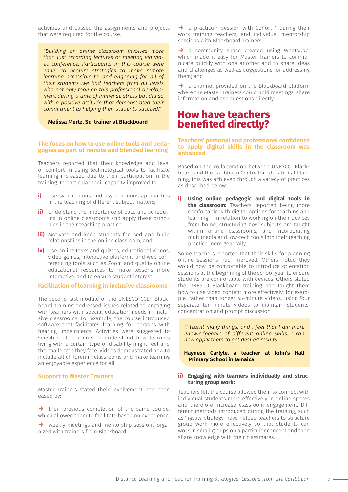activities and passed the assignments and projects that were required for the course.

*"Building an online classroom involves more than just recording lectures or meeting via video-conference. Participants in this course were eager to acquire strategies to make remote learning accessible to, and engaging for, all of their students…we had teachers from all levels who not only took on this professional development during a time of immense stress but did so with a positive attitude that demonstrated their commitment to helping their students succeed."* 

#### **Melissa Mertz, Sr., trainer at Blackboard**

#### **The focus on how to use online tools and pedagogies as part of remote and blended learning**

Teachers reported that their knowledge and level of comfort in using technological tools to facilitate learning increased due to their participation in the training. In particular their capacity improved to:

- **i)** Use synchronous and asynchronous approaches in the teaching of different subject matters;
- **ii)** Understand the importance of pace and scheduling in online classrooms and apply these principles in their teaching practice;
- **iii)** Motivate and keep students focused and build relationships in the online classroom; and
- **iv)** Use online tasks and quizzes, educational videos, video games, interactive platforms and web conferencing tools such as Zoom and quality online educational resources to make lessons more interactive, and to ensure student interest.

#### **Facilitation of learning in inclusive classrooms**

The second last module of the UNESCO-CCEP-Blackboard training addressed issues related to engaging with learners with special education needs in inclusive classrooms. For example, the course introduced software that facilitates learning for persons with hearing impairments. Activities were suggested to sensitize all students to understand how learners living with a certain type of disability might feel and the challenges they face. Videos demonstrated how to include all children in classrooms and make learning an enjoyable experience for all.

#### **Support to Master Trainers**

Master Trainers stated their involvement had been eased by:

→ their previous completion of the same course, which allowed them to facilitate based on experience;

**→** weekly meetings and mentorship sessions organized with trainers from Blackboard;

**→** a practicum session with Cohort 1 during their work training teachers, and individual mentorship sessions with Blackboard Trainers;

**→** a community space created using WhatsApp, which made it easy for Master Trainers to communicate quickly with one another and to share ideas and challenges as well as suggestions for addressing them; and

**→** a channel provided on the Blackboard platform where the Master Trainers could hold meetings, share information and ask questions directly.

### **How have teachers benefited directly?**

#### **Teachers' personal and professional confidence to apply digital skills in the classroom was enhanced**

Based on the collaboration between UNESCO, Blackboard and the Caribbean Centre for Educational Planning, this was achieved through a variety of practices as described below.

**i) Using online pedagogic and digital tools in the classroom:** Teachers reported being more comfortable with digital options for teaching and learning – in relation to working on their devices from home, structuring how subjects are taught within online classrooms, and incorporating multimedia and low-tech tools into their teaching practice more generally.

Some teachers reported that their skills for planning online sessions had improved. Others noted they would now be comfortable to introduce orientation sessions at the beginning of the school year to ensure students are comfortable with devices. Others stated the UNESCO Blackboard training had taught them how to use video content more effectively; for example, rather than longer 45-minute videos, using four separate ten-minute videos to maintain students' concentration and prompt discussion.

*"I learnt many things, and I feel that I am more knowledgeable of different online skills. I can now apply them to get desired results."*

**Haynese Carlyle, a teacher at John's Hall Primary School in Jamaica** 

#### **ii) Engaging with learners individually and structuring group work:**

Teachers felt the course allowed them to connect with individual students more effectively in online spaces and therefore increase classroom engagement. Different methods introduced during the training, such as 'jigsaw' strategy, have helped teachers to structure group work more effectively so that students can work in small groups on a particular concept and then share knowledge with their classmates.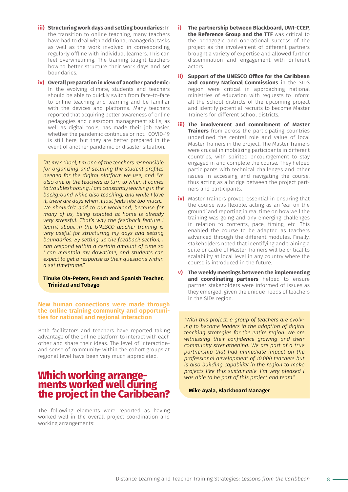- **iii) Structuring work days and setting boundaries:** In the transition to online teaching, many teachers have had to deal with additional managerial tasks as well as the work involved in corresponding regularly offline with individual learners. This can feel overwhelming. The training taught teachers how to better structure their work days and set boundaries.
- **iv) Overall preparation in view of another pandemic:** In the evolving climate, students and teachers should be able to quickly switch from face-to-face to online teaching and learning and be familiar with the devices and platforms. Many teachers reported that acquiring better awareness of online pedagogies and classroom management skills, as well as digital tools, has made their job easier, whether the pandemic continues or not. COVID-19 is still here, but they are better prepared in the event of another pandemic or disaster situation.

*"At my school, I'm one of the teachers responsible for organizing and securing the student profiles needed for the digital platform we use, and I'm also one of the teachers to turn to when it comes to troubleshooting. I am constantly working in the background while also teaching, and while I love it, there are days when it just feels like too much… We shouldn't add to our workload, because for many of us, being isolated at home is already very stressful. That's why the feedback feature I learnt about in the UNESCO teacher training is very useful for structuring my days and setting boundaries. By setting up the feedback section, I can respond within a certain amount of time so I can maintain my downtime, and students can expect to get a response to their questions within a set timeframe."*

#### **Tinuke Ola-Peters, French and Spanish Teacher, Trinidad and Tobago**

#### **New human connections were made through the online training community and opportunities for national and regional interaction**

Both facilitators and teachers have reported taking advantage of the online platform to interact with each other and share their ideas. The level of interactionand sense of communit within the cohort groups at regional level have been very much appreciated.

# **Which working arrange- ments worked well during the project in the Caribbean?**

The following elements were reported as having worked well in the overall project coordination and working arrangements:

- **i) The partnership between Blackboard, UWI-CCEP, the Reference Group and the TTF** was critical to the pedagogic and operational success of the project as the involvement of different partners brought a variety of expertise and allowed further dissemination and engagement with different actors.
- **ii) Support of the UNESCO Office for the Caribbean and country National Commissions** in the SIDS region were critical in approaching national ministries of education with requests to inform all the school districts of the upcoming project and identify potential recruits to become Master Trainers for different school districts.
- **iii) The involvement and commitment of Master Trainers** from across the participating countries underlined the central role and value of local Master Trainers in the project. The Master Trainers were crucial in mobilizing participants in different countries, with spirited encouragement to stay engaged in and complete the course. They helped participants with technical challenges and other issues in accessing and navigating the course, thus acting as a bridge between the project partners and participants.
- **iv)** Master Trainers proved essential in ensuring that the course was flexible, acting as an 'ear on the ground' and reporting in real time on how well the training was going and any emerging challenges in relation to contents, pace, timing, etc. This enabled the course to be adapted as teachers advanced through the different modules. Finally, stakeholders noted that identifying and training a suite or cadre of Master Trainers will be critical to scalability at local level in any country where the course is introduced in the future.
- **v) The weekly meetings between the implementing and coordinating partners** helped to ensure partner stakeholders were informed of issues as they emerged, given the unique needs of teachers in the SIDs region.

*"With this project, a group of teachers are evolving to become leaders in the adoption of digital teaching strategies for the entire region. We are witnessing their confidence growing and their community strengthening. We are part of a true partnership that had immediate impact on the professional development of 10,000 teachers but is also building capability in the region to make projects like this sustainable. I'm very pleased I was able to be part of this project and team."*

**Mike Ayala, Blackboard Manager**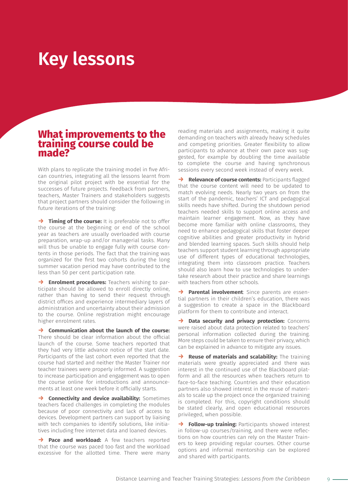# **Key lessons**

### **What improvements to the training course could be made?**

With plans to replicate the training model in five African countries, integrating all the lessons learnt from the original pilot project with be essential for the successes of future projects. Feedback from partners, teachers, Master Trainers and stakeholders suggests that project partners should consider the following in future iterations of the training:

**→ Timing of the course:** It is preferable not to offer the course at the beginning or end of the school year as teachers are usually overloaded with course preparation, wrap-up and/or managerial tasks. Many will thus be unable to engage fully with course contents in those periods. The fact that the training was organized for the first two cohorts during the long summer vacation period may have contributed to the less than 50 per cent participation rate.

**→ Enrolment procedures:** Teachers wishing to participate should be allowed to enroll directly online, rather than having to send their request through district offices and experience intermediary layers of administration and uncertainty about their admission to the course. Online registration might encourage higher enrolment rates.

**→ Communication about the launch of the course:** There should be clear information about the official launch of the course. Some teachers reported that they had very little advance notice of the start date. Participants of the last cohort even reported that the course had started and neither the Master Trainer nor teacher trainees were properly informed. A suggestion to increase participation and engagement was to open the course online for introductions and announcements at least one week before it officially starts.

**→ Connectivity and device availability:** Sometimes teachers faced challenges in completing the modules because of poor connectivity and lack of access to devices. Development partners can support by liaising with tech companies to identify solutions, like initiatives including free internet data and loaned devices.

→ **Pace and workload:** A few teachers reported that the course was paced too fast and the workload excessive for the allotted time. There were many

reading materials and assignments, making it quite demanding on teachers with already heavy schedules and competing priorities. Greater flexibility to allow participants to advance at their own pace was suggested, for example by doubling the time available to complete the course and having synchronous sessions every second week instead of every week.

**→ Relevance of course contents:** Participants flagged that the course content will need to be updated to match evolving needs. Nearly two years on from the start of the pandemic, teachers' ICT and pedagogical skills needs have shifted. During the shutdown period teachers needed skills to support online access and maintain learner engagement. Now, as they have become more familiar with online classrooms, they need to enhance pedagogical skills that foster deeper cognitive abilities and greater productivity in hybrid and blended learning spaces. Such skills should help teachers support student learning through appropriate use of different types of educational technologies, integrating them into classroom practice. Teachers should also learn how to use technologies to undertake research about their practice and share learnings with teachers from other schools.

**→ Parental involvement**: Since parents are essential partners in their children's education, there was a suggestion to create a space in the Blackboard platform for them to contribute and interact.

**→ Data security and privacy protection:** Concerns were raised about data protection related to teachers' personal information collected during the training. More steps could be taken to ensure their privacy, which can be explained in advance to mitigate any issues.

**→ Reuse of materials and scalability:** The training materials were greatly appreciated and there was interest in the continued use of the Blackboard platform and all the resources when teachers return to face-to-face teaching. Countries and their education partners also showed interest in the reuse of materials to scale up the project once the organized training is completed. For this, copyright conditions should be stated clearly, and open educational resources privileged, when possible.

**→ Follow-up training:** Participants showed interest in follow-up courses/training, and there were reflections on how countries can rely on the Master Trainers to keep providing regular courses. Other course options and informal mentorship can be explored and shared with participants.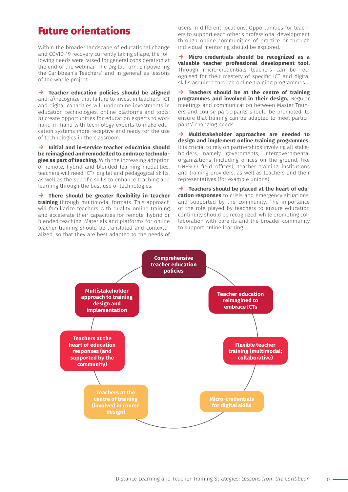## **Future orientations**

Within the broader landscape of educational change and COVID-19 recovery currently taking shape, the following needs were raised for general consideration at the end of the webinar 'The Digital Turn: Empowering the Caribbean's Teachers', and in general as lessons of the whole project:

**→ Teacher education policies should be aligned** and: a) recognize that failure to invest in teachers' ICT and digital capacities will undermine investments in education technologies, online platforms and tools; b) create opportunities for education experts to work hand-in-hand with technology experts to make education systems more receptive and ready for the use of technologies in the classroom.

**→ Initial and in-service teacher education should be reimagined and remodelled to embrace technologies as part of teaching.** With the increasing adoption of remote, hybrid and blended learning modalities, teachers will need ICT/ digital and pedagogical skills, as well as the specific skills to enhance teaching and learning through the best use of technologies.

**→ There should be greater flexibility in teacher training** through multimodal formats. This approach will familiarize teachers with quality online training and accelerate their capacities for remote, hybrid or blended teaching. Materials and platforms for online teacher training should be translated and contextualized, so that they are best adapted to the needs of users in different locations. Opportunities for teachers to support each other's professional development through online communities of practice or through individual mentoring should be explored.

**→ Micro-credentials should be recognized as a valuable teacher professional development tool.**  Through micro-credentials teachers can be recognised for their mastery of specific ICT and digital skills acquired through online training programmes.

**→ Teachers should be at the centre of training programmes and involved in their design.** Regular meetings and communication between Master Trainers and course participants should be promoted, to ensure that training can be adapted to meet participants' changing needs.

**→ Multistakeholder approaches are needed to design and implement online training programmes.** It is crucial to rely on partnerships involving all stakeholders, namely governments, intergovernmental organizations (including offices on the ground, like UNESCO field offices), teacher training institutions and training providers, as well as teachers and their representatives (for example unions).

**→ Teachers should be placed at the heart of education responses** to crisis and emergency situations, and supported by the community. The importance of the role played by teachers to ensure education continuity should be recognized, while promoting collaboration with parents and the broader community to support online learning.